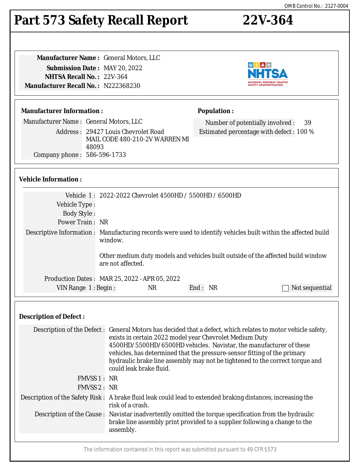#### The information contained in this report was submitted pursuant to 49 CFR §573

# **Part 573 Safety Recall Report 22V-364**

**Manufacturer Name :** General Motors, LLC **Submission Date :** MAY 20, 2022 **NHTSA Recall No. :** 22V-364 **Manufacturer Recall No. :** N222368230

#### **Manufacturer Information :**

Manufacturer Name : General Motors, LLC

Address : 29427 Louis Chevrolet Road MAIL CODE 480-210-2V WARREN MI 48093 Company phone : 586-596-1733

#### **Vehicle Information :**

|                       | Vehicle 1: 2022-2022 Chevrolet 4500HD / 5500HD / 6500HD                                                                                                                                                       |         |                |
|-----------------------|---------------------------------------------------------------------------------------------------------------------------------------------------------------------------------------------------------------|---------|----------------|
| Vehicle Type :        |                                                                                                                                                                                                               |         |                |
| <b>Body Style:</b>    |                                                                                                                                                                                                               |         |                |
| Power Train: NR       |                                                                                                                                                                                                               |         |                |
|                       | Descriptive Information : Manufacturing records were used to identify vehicles built within the affected build<br>window.<br>Other medium duty models and vehicles built outside of the affected build window |         |                |
|                       | are not affected.                                                                                                                                                                                             |         |                |
|                       | Production Dates : MAR 25, 2022 - APR 05, 2022                                                                                                                                                                |         |                |
| VIN Range $1:$ Begin: | NR.                                                                                                                                                                                                           | End: NR | Not sequential |

### **Description of Defect :**

|              | Description of the Defect : General Motors has decided that a defect, which relates to motor vehicle safety,<br>exists in certain 2022 model year Chevrolet Medium Duty<br>4500HD/5500HD/6500HD vehicles. Navistar, the manufacturer of these<br>vehicles, has determined that the pressure-sensor fitting of the primary<br>hydraulic brake line assembly may not be tightened to the correct torque and<br>could leak brake fluid. |
|--------------|--------------------------------------------------------------------------------------------------------------------------------------------------------------------------------------------------------------------------------------------------------------------------------------------------------------------------------------------------------------------------------------------------------------------------------------|
| FMVSS 1 : NR |                                                                                                                                                                                                                                                                                                                                                                                                                                      |
| FMVSS 2 : NR |                                                                                                                                                                                                                                                                                                                                                                                                                                      |
|              | Description of the Safety Risk : A brake fluid leak could lead to extended braking distances, increasing the<br>risk of a crash.                                                                                                                                                                                                                                                                                                     |
|              | Description of the Cause : Navistar inadvertently omitted the torque specification from the hydraulic<br>brake line assembly print provided to a supplier following a change to the<br>assembly.                                                                                                                                                                                                                                     |
|              |                                                                                                                                                                                                                                                                                                                                                                                                                                      |



Number of potentially involved : 39 Estimated percentage with defect : 100 %

**Population :**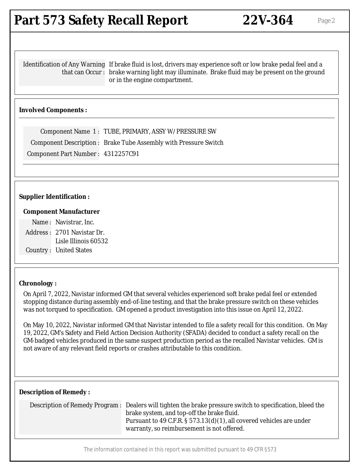## **Part 573 Safety Recall Report 22V-364** Page 2

Identification of Any Warning If brake fluid is lost, drivers may experience soft or low brake pedal feel and a that can Occur : brake warning light may illuminate. Brake fluid may be present on the ground or in the engine compartment.

#### **Involved Components :**

Component Name 1 : TUBE, PRIMARY, ASSY W/PRESSURE SW Component Description : Brake Tube Assembly with Pressure Switch Component Part Number : 4312257C91

#### **Supplier Identification :**

#### **Component Manufacturer**

Name : Navistrar, Inc. Address : 2701 Navistar Dr. Lisle Illinois 60532 Country : United States

#### **Chronology :**

On April 7, 2022, Navistar informed GM that several vehicles experienced soft brake pedal feel or extended stopping distance during assembly end-of-line testing, and that the brake pressure switch on these vehicles was not torqued to specification. GM opened a product investigation into this issue on April 12, 2022.

On May 10, 2022, Navistar informed GM that Navistar intended to file a safety recall for this condition. On May 19, 2022, GM's Safety and Field Action Decision Authority (SFADA) decided to conduct a safety recall on the GM-badged vehicles produced in the same suspect production period as the recalled Navistar vehicles. GM is not aware of any relevant field reports or crashes attributable to this condition.

#### **Description of Remedy :**

| Description of Remedy Program : Dealers will tighten the brake pressure switch to specification, bleed the |  |
|------------------------------------------------------------------------------------------------------------|--|
| brake system, and top-off the brake fluid.                                                                 |  |
| Pursuant to 49 C.F.R. § 573.13(d)(1), all covered vehicles are under                                       |  |
| warranty, so reimbursement is not offered.                                                                 |  |